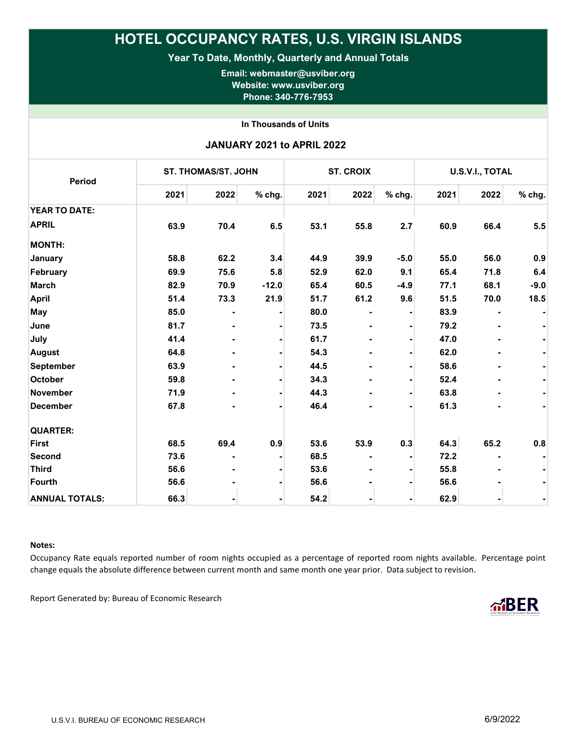## HOTEL OCCUPANCY RATES, U.S. VIRGIN ISLANDS

Year To Date, Monthly, Quarterly and Annual Totals

Email: webmaster@usviber.org Website: www.usviber.org Phone: 340-776-7953

In Thousands of Units

| <b>JANUARY 2021 to APRIL 2022</b> |  |  |  |
|-----------------------------------|--|--|--|
|-----------------------------------|--|--|--|

| Period                | <b>ST. THOMAS/ST. JOHN</b> |                |         | <b>ST. CROIX</b> |      |                | U.S.V.I., TOTAL |                |        |
|-----------------------|----------------------------|----------------|---------|------------------|------|----------------|-----------------|----------------|--------|
|                       | 2021                       | 2022           | % chg.  | 2021             | 2022 | % chg.         | 2021            | 2022           | % chg. |
| <b>YEAR TO DATE:</b>  |                            |                |         |                  |      |                |                 |                |        |
| <b>APRIL</b>          | 63.9                       | 70.4           | 6.5     | 53.1             | 55.8 | 2.7            | 60.9            | 66.4           | 5.5    |
| <b>MONTH:</b>         |                            |                |         |                  |      |                |                 |                |        |
| January               | 58.8                       | 62.2           | 3.4     | 44.9             | 39.9 | $-5.0$         | 55.0            | 56.0           | 0.9    |
| February              | 69.9                       | 75.6           | 5.8     | 52.9             | 62.0 | 9.1            | 65.4            | 71.8           | 6.4    |
| <b>March</b>          | 82.9                       | 70.9           | $-12.0$ | 65.4             | 60.5 | $-4.9$         | 77.1            | 68.1           | $-9.0$ |
| <b>April</b>          | 51.4                       | 73.3           | 21.9    | 51.7             | 61.2 | 9.6            | 51.5            | 70.0           | 18.5   |
| May                   | 85.0                       |                |         | 80.0             |      |                | 83.9            |                |        |
| June                  | 81.7                       |                |         | 73.5             |      |                | 79.2            |                |        |
| July                  | 41.4                       | ۰              |         | 61.7             |      |                | 47.0            |                |        |
| <b>August</b>         | 64.8                       |                |         | 54.3             |      |                | 62.0            |                |        |
| <b>September</b>      | 63.9                       | $\blacksquare$ |         | 44.5             |      | $\blacksquare$ | 58.6            | $\blacksquare$ |        |
| October               | 59.8                       | $\blacksquare$ |         | 34.3             |      |                | 52.4            |                |        |
| <b>November</b>       | 71.9                       | $\blacksquare$ |         | 44.3             |      | $\blacksquare$ | 63.8            | ۰              |        |
| <b>December</b>       | 67.8                       |                |         | 46.4             |      | $\blacksquare$ | 61.3            |                |        |
| <b>QUARTER:</b>       |                            |                |         |                  |      |                |                 |                |        |
| <b>First</b>          | 68.5                       | 69.4           | 0.9     | 53.6             | 53.9 | 0.3            | 64.3            | 65.2           | 0.8    |
| Second                | 73.6                       | $\blacksquare$ |         | 68.5             |      |                | 72.2            |                |        |
| <b>Third</b>          | 56.6                       |                |         | 53.6             |      |                | 55.8            |                |        |
| <b>Fourth</b>         | 56.6                       |                |         | 56.6             |      |                | 56.6            |                |        |
| <b>ANNUAL TOTALS:</b> | 66.3                       |                |         | 54.2             |      |                | 62.9            | ۰              |        |

## Notes:

Occupancy Rate equals reported number of room nights occupied as a percentage of reported room nights available. Percentage point change equals the absolute difference between current month and same month one year prior. Data subject to revision.

Report Generated by: Bureau of Economic Research